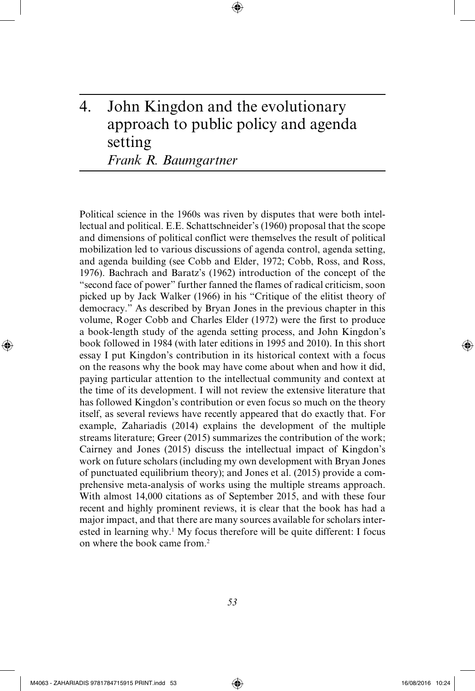# 4. John Kingdon and the evolutionary approach to public policy and agenda setting *Frank R. Baumgartner*

⊕

Political science in the 1960s was riven by disputes that were both intellectual and political. E.E. Schattschneider's (1960) proposal that the scope and dimensions of political conflict were themselves the result of political mobilization led to various discussions of agenda control, agenda setting, and agenda building (see Cobb and Elder, 1972; Cobb, Ross, and Ross, 1976). Bachrach and Baratz's (1962) introduction of the concept of the "second face of power" further fanned the flames of radical criticism, soon picked up by Jack Walker (1966) in his "Critique of the elitist theory of democracy." As described by Bryan Jones in the previous chapter in this volume, Roger Cobb and Charles Elder (1972) were the first to produce a book-length study of the agenda setting process, and John Kingdon's book followed in 1984 (with later editions in 1995 and 2010). In this short essay I put Kingdon's contribution in its historical context with a focus on the reasons why the book may have come about when and how it did, paying particular attention to the intellectual community and context at the time of its development. I will not review the extensive literature that has followed Kingdon's contribution or even focus so much on the theory itself, as several reviews have recently appeared that do exactly that. For example, Zahariadis (2014) explains the development of the multiple streams literature; Greer (2015) summarizes the contribution of the work; Cairney and Jones (2015) discuss the intellectual impact of Kingdon's work on future scholars (including my own development with Bryan Jones of punctuated equilibrium theory); and Jones et al. (2015) provide a comprehensive meta-analysis of works using the multiple streams approach. With almost 14,000 citations as of September 2015, and with these four recent and highly prominent reviews, it is clear that the book has had a major impact, and that there are many sources available for scholars interested in learning why.<sup>1</sup> My focus therefore will be quite different: I focus on where the book came from.2

*53*

⊕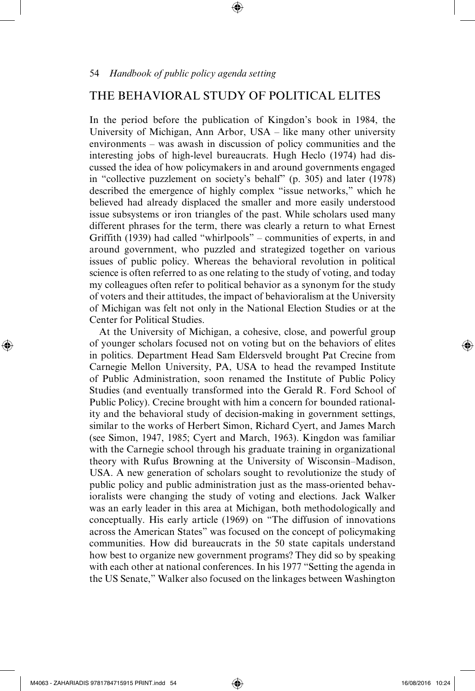# THE BEHAVIORAL STUDY OF POLITICAL ELITES

⊕

In the period before the publication of Kingdon's book in 1984, the University of Michigan, Ann Arbor, USA – like many other university environments – was awash in discussion of policy communities and the interesting jobs of high-level bureaucrats. Hugh Heclo (1974) had discussed the idea of how policymakers in and around governments engaged in "collective puzzlement on society's behalf" (p. 305) and later (1978) described the emergence of highly complex "issue networks," which he believed had already displaced the smaller and more easily understood issue subsystems or iron triangles of the past. While scholars used many different phrases for the term, there was clearly a return to what Ernest Griffith (1939) had called "whirlpools" – communities of experts, in and around government, who puzzled and strategized together on various issues of public policy. Whereas the behavioral revolution in political science is often referred to as one relating to the study of voting, and today my colleagues often refer to political behavior as a synonym for the study of voters and their attitudes, the impact of behavioralism at the University of Michigan was felt not only in the National Election Studies or at the Center for Political Studies.

At the University of Michigan, a cohesive, close, and powerful group of younger scholars focused not on voting but on the behaviors of elites in politics. Department Head Sam Eldersveld brought Pat Crecine from Carnegie Mellon University, PA, USA to head the revamped Institute of Public Administration, soon renamed the Institute of Public Policy Studies (and eventually transformed into the Gerald R. Ford School of Public Policy). Crecine brought with him a concern for bounded rationality and the behavioral study of decision-making in government settings, similar to the works of Herbert Simon, Richard Cyert, and James March (see Simon, 1947, 1985; Cyert and March, 1963). Kingdon was familiar with the Carnegie school through his graduate training in organizational theory with Rufus Browning at the University of Wisconsin–Madison, USA. A new generation of scholars sought to revolutionize the study of public policy and public administration just as the mass-oriented behavioralists were changing the study of voting and elections. Jack Walker was an early leader in this area at Michigan, both methodologically and conceptually. His early article (1969) on "The diffusion of innovations across the American States" was focused on the concept of policymaking communities. How did bureaucrats in the 50 state capitals understand how best to organize new government programs? They did so by speaking with each other at national conferences. In his 1977 "Setting the agenda in the US Senate," Walker also focused on the linkages between Washington

⊕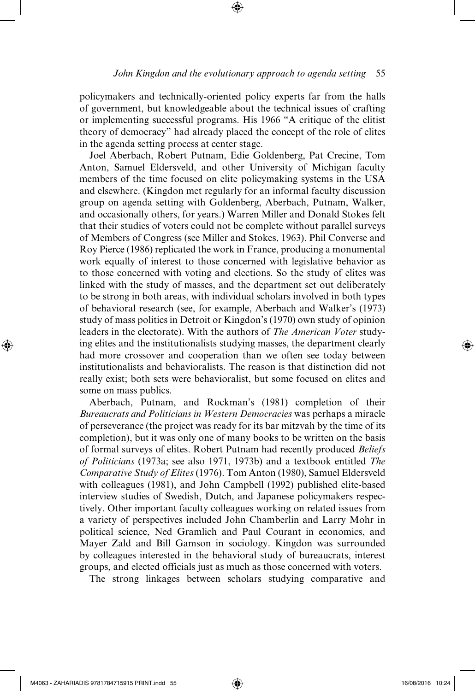⊕

policymakers and technically-oriented policy experts far from the halls of government, but knowledgeable about the technical issues of crafting or implementing successful programs. His 1966 "A critique of the elitist theory of democracy" had already placed the concept of the role of elites in the agenda setting process at center stage.

Joel Aberbach, Robert Putnam, Edie Goldenberg, Pat Crecine, Tom Anton, Samuel Eldersveld, and other University of Michigan faculty members of the time focused on elite policymaking systems in the USA and elsewhere. (Kingdon met regularly for an informal faculty discussion group on agenda setting with Goldenberg, Aberbach, Putnam, Walker, and occasionally others, for years.) Warren Miller and Donald Stokes felt that their studies of voters could not be complete without parallel surveys of Members of Congress (see Miller and Stokes, 1963). Phil Converse and Roy Pierce (1986) replicated the work in France, producing a monumental work equally of interest to those concerned with legislative behavior as to those concerned with voting and elections. So the study of elites was linked with the study of masses, and the department set out deliberately to be strong in both areas, with individual scholars involved in both types of behavioral research (see, for example, Aberbach and Walker's (1973) study of mass politics in Detroit or Kingdon's (1970) own study of opinion leaders in the electorate). With the authors of *The American Voter* studying elites and the institutionalists studying masses, the department clearly had more crossover and cooperation than we often see today between institutionalists and behavioralists. The reason is that distinction did not really exist; both sets were behavioralist, but some focused on elites and some on mass publics.

Aberbach, Putnam, and Rockman's (1981) completion of their *Bureaucrats and Politicians in Western Democracies* was perhaps a miracle of perseverance (the project was ready for its bar mitzvah by the time of its completion), but it was only one of many books to be written on the basis of formal surveys of elites. Robert Putnam had recently produced *Beliefs of Politicians* (1973a; see also 1971, 1973b) and a textbook entitled *The Comparative Study of Elites* (1976). Tom Anton (1980), Samuel Eldersveld with colleagues (1981), and John Campbell (1992) published elite-based interview studies of Swedish, Dutch, and Japanese policymakers respectively. Other important faculty colleagues working on related issues from a variety of perspectives included John Chamberlin and Larry Mohr in political science, Ned Gramlich and Paul Courant in economics, and Mayer Zald and Bill Gamson in sociology. Kingdon was surrounded by colleagues interested in the behavioral study of bureaucrats, interest groups, and elected officials just as much as those concerned with voters.

The strong linkages between scholars studying comparative and

⊕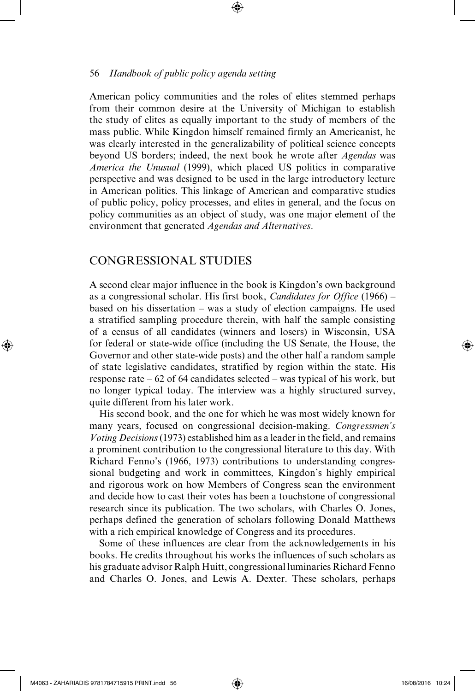## 56 *Handbook of public policy agenda setting*

American policy communities and the roles of elites stemmed perhaps from their common desire at the University of Michigan to establish the study of elites as equally important to the study of members of the mass public. While Kingdon himself remained firmly an Americanist, he was clearly interested in the generalizability of political science concepts beyond US borders; indeed, the next book he wrote after *Agendas* was *America the Unusual* (1999), which placed US politics in comparative perspective and was designed to be used in the large introductory lecture in American politics. This linkage of American and comparative studies of public policy, policy processes, and elites in general, and the focus on policy communities as an object of study, was one major element of the environment that generated *Agendas and Alternatives*.

⊕

# CONGRESSIONAL STUDIES

A second clear major influence in the book is Kingdon's own background as a congressional scholar. His first book, *Candidates for Office* (1966) – based on his dissertation – was a study of election campaigns. He used a stratified sampling procedure therein, with half the sample consisting of a census of all candidates (winners and losers) in Wisconsin, USA for federal or state-wide office (including the US Senate, the House, the Governor and other state-wide posts) and the other half a random sample of state legislative candidates, stratified by region within the state. His response rate – 62 of 64 candidates selected – was typical of his work, but no longer typical today. The interview was a highly structured survey, quite different from his later work.

His second book, and the one for which he was most widely known for many years, focused on congressional decision-making. *Congressmen's Voting Decisions* (1973) established him as a leader in the field, and remains a prominent contribution to the congressional literature to this day. With Richard Fenno's (1966, 1973) contributions to understanding congressional budgeting and work in committees, Kingdon's highly empirical and rigorous work on how Members of Congress scan the environment and decide how to cast their votes has been a touchstone of congressional research since its publication. The two scholars, with Charles O. Jones, perhaps defined the generation of scholars following Donald Matthews with a rich empirical knowledge of Congress and its procedures.

Some of these influences are clear from the acknowledgements in his books. He credits throughout his works the influences of such scholars as his graduate advisor Ralph Huitt, congressional luminaries Richard Fenno and Charles O. Jones, and Lewis A. Dexter. These scholars, perhaps

⊕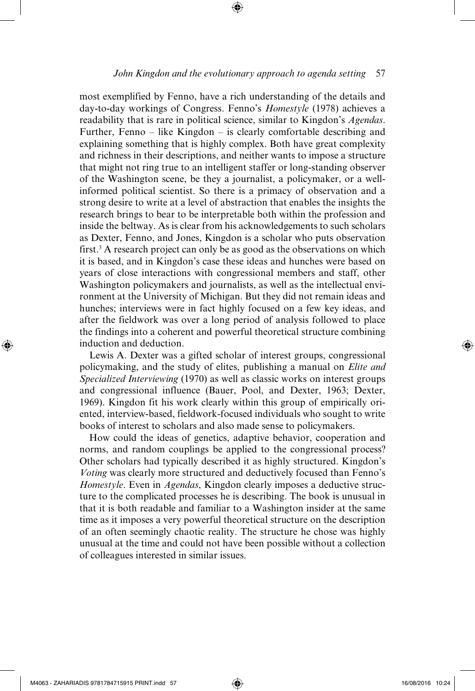## *John Kingdon and the evolutionary approach to agenda setting* 57

⊕

most exemplified by Fenno, have a rich understanding of the details and day-to-day workings of Congress. Fenno's *Homestyle* (1978) achieves a readability that is rare in political science, similar to Kingdon's *Agendas*. Further, Fenno – like Kingdon – is clearly comfortable describing and explaining something that is highly complex. Both have great complexity and richness in their descriptions, and neither wants to impose a structure that might not ring true to an intelligent staffer or long-standing observer of the Washington scene, be they a journalist, a policymaker, or a wellinformed political scientist. So there is a primacy of observation and a strong desire to write at a level of abstraction that enables the insights the research brings to bear to be interpretable both within the profession and inside the beltway. As is clear from his acknowledgements to such scholars as Dexter, Fenno, and Jones, Kingdon is a scholar who puts observation first.3 A research project can only be as good as the observations on which it is based, and in Kingdon's case these ideas and hunches were based on years of close interactions with congressional members and staff, other Washington policymakers and journalists, as well as the intellectual environment at the University of Michigan. But they did not remain ideas and hunches; interviews were in fact highly focused on a few key ideas, and after the fieldwork was over a long period of analysis followed to place the findings into a coherent and powerful theoretical structure combining induction and deduction.

Lewis A. Dexter was a gifted scholar of interest groups, congressional policymaking, and the study of elites, publishing a manual on *Elite and Specialized Interviewing* (1970) as well as classic works on interest groups and congressional influence (Bauer, Pool, and Dexter, 1963; Dexter, 1969). Kingdon fit his work clearly within this group of empirically oriented, interview-based, fieldwork-focused individuals who sought to write books of interest to scholars and also made sense to policymakers.

How could the ideas of genetics, adaptive behavior, cooperation and norms, and random couplings be applied to the congressional process? Other scholars had typically described it as highly structured. Kingdon's *Voting* was clearly more structured and deductively focused than Fenno's *Homestyle*. Even in *Agendas*, Kingdon clearly imposes a deductive structure to the complicated processes he is describing. The book is unusual in that it is both readable and familiar to a Washington insider at the same time as it imposes a very powerful theoretical structure on the description of an often seemingly chaotic reality. The structure he chose was highly unusual at the time and could not have been possible without a collection of colleagues interested in similar issues.

⊕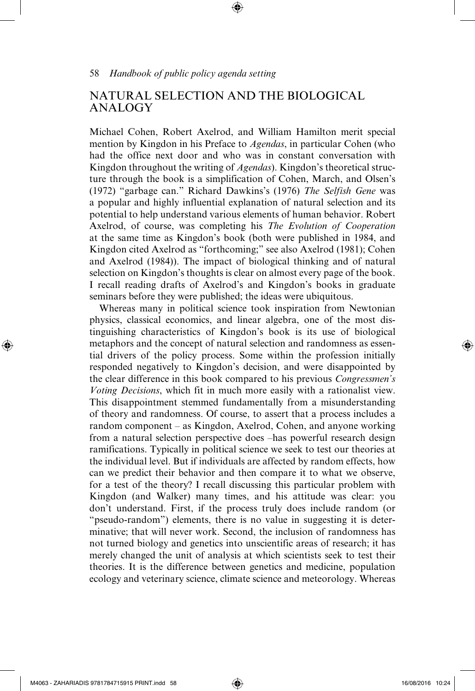# NATURAL SELECTION AND THE BIOLOGICAL ANALOGY

⊕

Michael Cohen, Robert Axelrod, and William Hamilton merit special mention by Kingdon in his Preface to *Agendas*, in particular Cohen (who had the office next door and who was in constant conversation with Kingdon throughout the writing of *Agendas*). Kingdon's theoretical structure through the book is a simplification of Cohen, March, and Olsen's (1972) "garbage can." Richard Dawkins's (1976) *The Selfish Gene* was a popular and highly influential explanation of natural selection and its potential to help understand various elements of human behavior. Robert Axelrod, of course, was completing his *The Evolution of Cooperation* at the same time as Kingdon's book (both were published in 1984, and Kingdon cited Axelrod as "forthcoming;" see also Axelrod (1981); Cohen and Axelrod (1984)). The impact of biological thinking and of natural selection on Kingdon's thoughts is clear on almost every page of the book. I recall reading drafts of Axelrod's and Kingdon's books in graduate seminars before they were published; the ideas were ubiquitous.

Whereas many in political science took inspiration from Newtonian physics, classical economics, and linear algebra, one of the most distinguishing characteristics of Kingdon's book is its use of biological metaphors and the concept of natural selection and randomness as essential drivers of the policy process. Some within the profession initially responded negatively to Kingdon's decision, and were disappointed by the clear difference in this book compared to his previous *Congressmen's Voting Decisions*, which fit in much more easily with a rationalist view. This disappointment stemmed fundamentally from a misunderstanding of theory and randomness. Of course, to assert that a process includes a random component – as Kingdon, Axelrod, Cohen, and anyone working from a natural selection perspective does –has powerful research design ramifications. Typically in political science we seek to test our theories at the individual level. But if individuals are affected by random effects, how can we predict their behavior and then compare it to what we observe, for a test of the theory? I recall discussing this particular problem with Kingdon (and Walker) many times, and his attitude was clear: you don't understand. First, if the process truly does include random (or "pseudo-random") elements, there is no value in suggesting it is determinative; that will never work. Second, the inclusion of randomness has not turned biology and genetics into unscientific areas of research; it has merely changed the unit of analysis at which scientists seek to test their theories. It is the difference between genetics and medicine, population ecology and veterinary science, climate science and meteorology. Whereas

⊕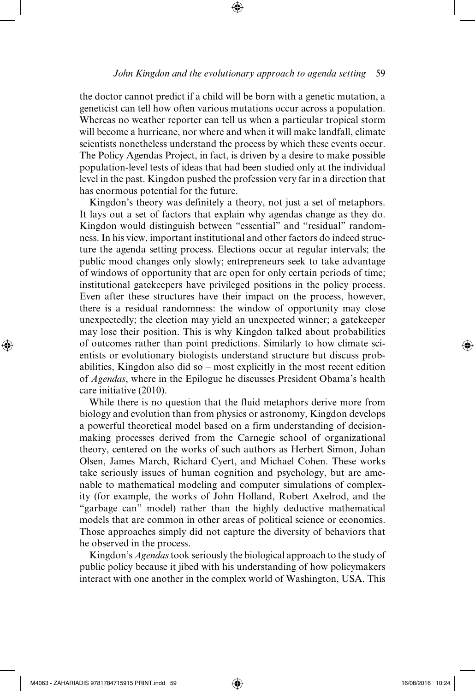## *John Kingdon and the evolutionary approach to agenda setting* 59

⊕

the doctor cannot predict if a child will be born with a genetic mutation, a geneticist can tell how often various mutations occur across a population. Whereas no weather reporter can tell us when a particular tropical storm will become a hurricane, nor where and when it will make landfall, climate scientists nonetheless understand the process by which these events occur. The Policy Agendas Project, in fact, is driven by a desire to make possible population-level tests of ideas that had been studied only at the individual level in the past. Kingdon pushed the profession very far in a direction that has enormous potential for the future.

Kingdon's theory was definitely a theory, not just a set of metaphors. It lays out a set of factors that explain why agendas change as they do. Kingdon would distinguish between "essential" and "residual" randomness. In his view, important institutional and other factors do indeed structure the agenda setting process. Elections occur at regular intervals; the public mood changes only slowly; entrepreneurs seek to take advantage of windows of opportunity that are open for only certain periods of time; institutional gatekeepers have privileged positions in the policy process. Even after these structures have their impact on the process, however, there is a residual randomness: the window of opportunity may close unexpectedly; the election may yield an unexpected winner; a gatekeeper may lose their position. This is why Kingdon talked about probabilities of outcomes rather than point predictions. Similarly to how climate scientists or evolutionary biologists understand structure but discuss probabilities, Kingdon also did so – most explicitly in the most recent edition of *Agendas*, where in the Epilogue he discusses President Obama's health care initiative (2010).

While there is no question that the fluid metaphors derive more from biology and evolution than from physics or astronomy, Kingdon develops a powerful theoretical model based on a firm understanding of decisionmaking processes derived from the Carnegie school of organizational theory, centered on the works of such authors as Herbert Simon, Johan Olsen, James March, Richard Cyert, and Michael Cohen. These works take seriously issues of human cognition and psychology, but are amenable to mathematical modeling and computer simulations of complexity (for example, the works of John Holland, Robert Axelrod, and the "garbage can" model) rather than the highly deductive mathematical models that are common in other areas of political science or economics. Those approaches simply did not capture the diversity of behaviors that he observed in the process.

Kingdon's *Agendas* took seriously the biological approach to the study of public policy because it jibed with his understanding of how policymakers interact with one another in the complex world of Washington, USA. This

⊕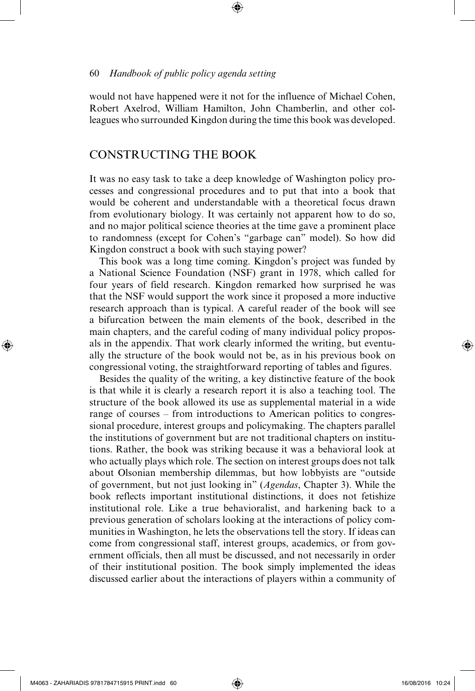would not have happened were it not for the influence of Michael Cohen, Robert Axelrod, William Hamilton, John Chamberlin, and other colleagues who surrounded Kingdon during the time this book was developed.

⊕

## CONSTRUCTING THE BOOK

It was no easy task to take a deep knowledge of Washington policy processes and congressional procedures and to put that into a book that would be coherent and understandable with a theoretical focus drawn from evolutionary biology. It was certainly not apparent how to do so, and no major political science theories at the time gave a prominent place to randomness (except for Cohen's "garbage can" model). So how did Kingdon construct a book with such staying power?

This book was a long time coming. Kingdon's project was funded by a National Science Foundation (NSF) grant in 1978, which called for four years of field research. Kingdon remarked how surprised he was that the NSF would support the work since it proposed a more inductive research approach than is typical. A careful reader of the book will see a bifurcation between the main elements of the book, described in the main chapters, and the careful coding of many individual policy proposals in the appendix. That work clearly informed the writing, but eventually the structure of the book would not be, as in his previous book on congressional voting, the straightforward reporting of tables and figures.

Besides the quality of the writing, a key distinctive feature of the book is that while it is clearly a research report it is also a teaching tool. The structure of the book allowed its use as supplemental material in a wide range of courses – from introductions to American politics to congressional procedure, interest groups and policymaking. The chapters parallel the institutions of government but are not traditional chapters on institutions. Rather, the book was striking because it was a behavioral look at who actually plays which role. The section on interest groups does not talk about Olsonian membership dilemmas, but how lobbyists are "outside of government, but not just looking in" (*Agendas*, Chapter 3). While the book reflects important institutional distinctions, it does not fetishize institutional role. Like a true behavioralist, and harkening back to a previous generation of scholars looking at the interactions of policy communities in Washington, he lets the observations tell the story. If ideas can come from congressional staff, interest groups, academics, or from government officials, then all must be discussed, and not necessarily in order of their institutional position. The book simply implemented the ideas discussed earlier about the interactions of players within a community of

⊕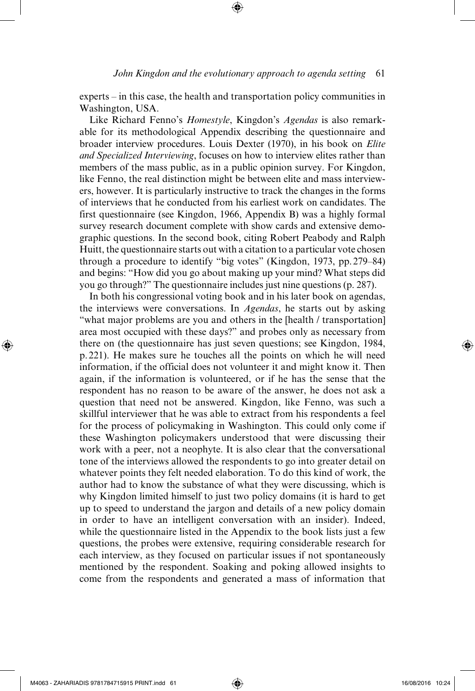experts – in this case, the health and transportation policy communities in Washington, USA.

⊕

Like Richard Fenno's *Homestyle*, Kingdon's *Agendas* is also remarkable for its methodological Appendix describing the questionnaire and broader interview procedures. Louis Dexter (1970), in his book on *Elite and Specialized Interviewing*, focuses on how to interview elites rather than members of the mass public, as in a public opinion survey. For Kingdon, like Fenno, the real distinction might be between elite and mass interviewers, however. It is particularly instructive to track the changes in the forms of interviews that he conducted from his earliest work on candidates. The first questionnaire (see Kingdon, 1966, Appendix B) was a highly formal survey research document complete with show cards and extensive demographic questions. In the second book, citing Robert Peabody and Ralph Huitt, the questionnaire starts out with a citation to a particular vote chosen through a procedure to identify "big votes" (Kingdon, 1973, pp.279–84) and begins: "How did you go about making up your mind? What steps did you go through?" The questionnaire includes just nine questions (p. 287).

In both his congressional voting book and in his later book on agendas, the interviews were conversations. In *Agendas*, he starts out by asking "what major problems are you and others in the [health / transportation] area most occupied with these days?" and probes only as necessary from there on (the questionnaire has just seven questions; see Kingdon, 1984, p.221). He makes sure he touches all the points on which he will need information, if the official does not volunteer it and might know it. Then again, if the information is volunteered, or if he has the sense that the respondent has no reason to be aware of the answer, he does not ask a question that need not be answered. Kingdon, like Fenno, was such a skillful interviewer that he was able to extract from his respondents a feel for the process of policymaking in Washington. This could only come if these Washington policymakers understood that were discussing their work with a peer, not a neophyte. It is also clear that the conversational tone of the interviews allowed the respondents to go into greater detail on whatever points they felt needed elaboration. To do this kind of work, the author had to know the substance of what they were discussing, which is why Kingdon limited himself to just two policy domains (it is hard to get up to speed to understand the jargon and details of a new policy domain in order to have an intelligent conversation with an insider). Indeed, while the questionnaire listed in the Appendix to the book lists just a few questions, the probes were extensive, requiring considerable research for each interview, as they focused on particular issues if not spontaneously mentioned by the respondent. Soaking and poking allowed insights to come from the respondents and generated a mass of information that

⊕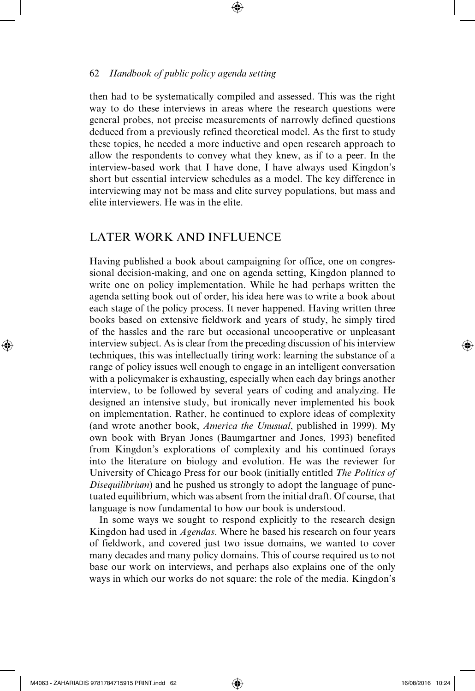## 62 *Handbook of public policy agenda setting*

then had to be systematically compiled and assessed. This was the right way to do these interviews in areas where the research questions were general probes, not precise measurements of narrowly defined questions deduced from a previously refined theoretical model. As the first to study these topics, he needed a more inductive and open research approach to allow the respondents to convey what they knew, as if to a peer. In the interview-based work that I have done, I have always used Kingdon's short but essential interview schedules as a model. The key difference in interviewing may not be mass and elite survey populations, but mass and elite interviewers. He was in the elite.

⊕

## LATER WORK AND INFLUENCE

Having published a book about campaigning for office, one on congressional decision-making, and one on agenda setting, Kingdon planned to write one on policy implementation. While he had perhaps written the agenda setting book out of order, his idea here was to write a book about each stage of the policy process. It never happened. Having written three books based on extensive fieldwork and years of study, he simply tired of the hassles and the rare but occasional uncooperative or unpleasant interview subject. As is clear from the preceding discussion of his interview techniques, this was intellectually tiring work: learning the substance of a range of policy issues well enough to engage in an intelligent conversation with a policymaker is exhausting, especially when each day brings another interview, to be followed by several years of coding and analyzing. He designed an intensive study, but ironically never implemented his book on implementation. Rather, he continued to explore ideas of complexity (and wrote another book, *America the Unusual*, published in 1999). My own book with Bryan Jones (Baumgartner and Jones, 1993) benefited from Kingdon's explorations of complexity and his continued forays into the literature on biology and evolution. He was the reviewer for University of Chicago Press for our book (initially entitled *The Politics of Disequilibrium*) and he pushed us strongly to adopt the language of punctuated equilibrium, which was absent from the initial draft. Of course, that language is now fundamental to how our book is understood.

In some ways we sought to respond explicitly to the research design Kingdon had used in *Agendas*. Where he based his research on four years of fieldwork, and covered just two issue domains, we wanted to cover many decades and many policy domains. This of course required us to not base our work on interviews, and perhaps also explains one of the only ways in which our works do not square: the role of the media. Kingdon's

M4063 - ZAHARIADIS 9781784715915 PRINT.indd 62 16/08/2016 10:24

⊕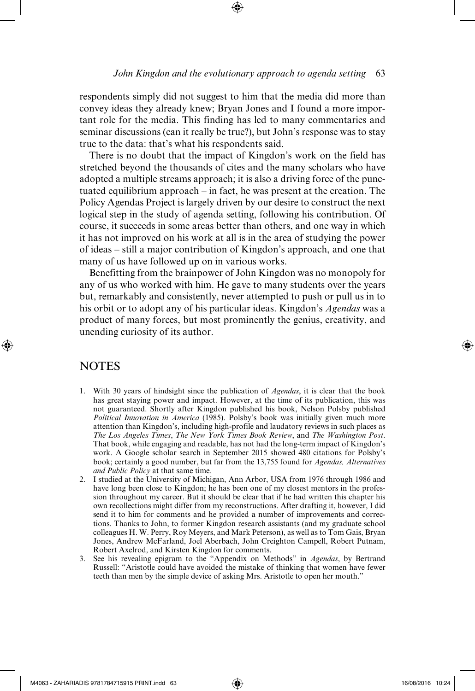#### *John Kingdon and the evolutionary approach to agenda setting* 63

respondents simply did not suggest to him that the media did more than convey ideas they already knew; Bryan Jones and I found a more important role for the media. This finding has led to many commentaries and seminar discussions (can it really be true?), but John's response was to stay true to the data: that's what his respondents said.

There is no doubt that the impact of Kingdon's work on the field has stretched beyond the thousands of cites and the many scholars who have adopted a multiple streams approach; it is also a driving force of the punctuated equilibrium approach – in fact, he was present at the creation. The Policy Agendas Project is largely driven by our desire to construct the next logical step in the study of agenda setting, following his contribution. Of course, it succeeds in some areas better than others, and one way in which it has not improved on his work at all is in the area of studying the power of ideas – still a major contribution of Kingdon's approach, and one that many of us have followed up on in various works.

Benefitting from the brainpower of John Kingdon was no monopoly for any of us who worked with him. He gave to many students over the years but, remarkably and consistently, never attempted to push or pull us in to his orbit or to adopt any of his particular ideas. Kingdon's *Agendas* was a product of many forces, but most prominently the genius, creativity, and unending curiosity of its author.

## **NOTES**

⊕

- 1. With 30 years of hindsight since the publication of *Agendas*, it is clear that the book has great staying power and impact. However, at the time of its publication, this was not guaranteed. Shortly after Kingdon published his book, Nelson Polsby published *Political Innovation in America* (1985). Polsby's book was initially given much more attention than Kingdon's, including high-profile and laudatory reviews in such places as *The Los Angeles Times*, *The New York Times Book Review*, and *The Washington Post*. That book, while engaging and readable, has not had the long-term impact of Kingdon's work. A Google scholar search in September 2015 showed 480 citations for Polsby's book; certainly a good number, but far from the 13,755 found for *Agendas, Alternatives and Public Policy* at that same time.
- 2. I studied at the University of Michigan, Ann Arbor, USA from 1976 through 1986 and have long been close to Kingdon; he has been one of my closest mentors in the profession throughout my career. But it should be clear that if he had written this chapter his own recollections might differ from my reconstructions. After drafting it, however, I did send it to him for comments and he provided a number of improvements and corrections. Thanks to John, to former Kingdon research assistants (and my graduate school colleagues H. W. Perry, Roy Meyers, and Mark Peterson), as well as to Tom Gais, Bryan Jones, Andrew McFarland, Joel Aberbach, John Creighton Campell, Robert Putnam, Robert Axelrod, and Kirsten Kingdon for comments.
- 3. See his revealing epigram to the "Appendix on Methods" in *Agendas*, by Bertrand Russell: "Aristotle could have avoided the mistake of thinking that women have fewer teeth than men by the simple device of asking Mrs. Aristotle to open her mouth."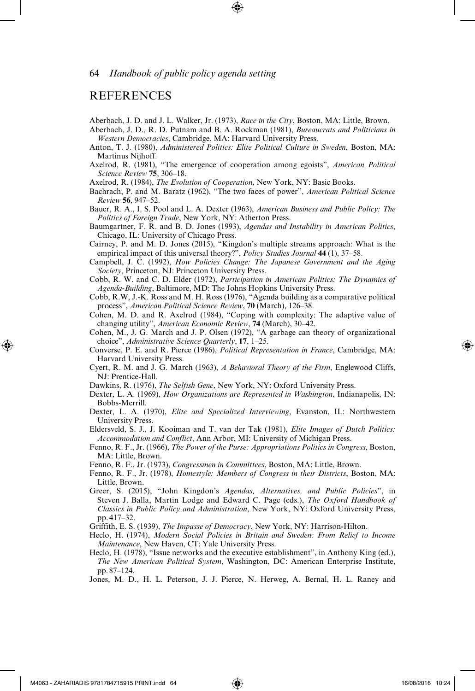## **REFERENCES**

Aberbach, J. D. and J. L. Walker, Jr. (1973), *Race in the City*, Boston, MA: Little, Brown.

- Aberbach, J. D., R. D. Putnam and B. A. Rockman (1981), *Bureaucrats and Politicians in Western Democracies*, Cambridge, MA: Harvard University Press.
- Anton, T. J. (1980), *Administered Politics: Elite Political Culture in Sweden*, Boston, MA: Martinus Nijhoff.
- Axelrod, R. (1981), "The emergence of cooperation among egoists", *American Political Science Review* **75**, 306–18.
- Axelrod, R. (1984), *The Evolution of Cooperation*, New York, NY: Basic Books.
- Bachrach, P. and M. Baratz (1962), "The two faces of power", *American Political Science Review* **56**, 947–52.

Bauer, R. A., I. S. Pool and L. A. Dexter (1963), *American Business and Public Policy: The Politics of Foreign Trade*, New York, NY: Atherton Press.

- Baumgartner, F. R. and B. D. Jones (1993), *Agendas and Instability in American Politics*, Chicago, IL: University of Chicago Press.
- Cairney, P. and M. D. Jones (2015), "Kingdon's multiple streams approach: What is the empirical impact of this universal theory?", *Policy Studies Journal* **44** (1), 37–58.
- Campbell, J. C. (1992), *How Policies Change: The Japanese Government and the Aging Society*, Princeton, NJ: Princeton University Press.

Cobb, R. W. and C. D. Elder (1972), *Participation in American Politics: The Dynamics of Agenda-Building*, Baltimore, MD: The Johns Hopkins University Press.

- Cobb, R.W, J.-K. Ross and M. H. Ross (1976), "Agenda building as a comparative political process", *American Political Science Review*, **70** (March), 126–38.
- Cohen, M. D. and R. Axelrod (1984), "Coping with complexity: The adaptive value of changing utility", *American Economic Review*, **74** (March), 30–42.
- Cohen, M., J. G. March and J. P. Olsen (1972), "A garbage can theory of organizational choice", *Administrative Science Quarterly*, **17**, 1–25.
- Converse, P. E. and R. Pierce (1986), *Political Representation in France*, Cambridge, MA: Harvard University Press.
- Cyert, R. M. and J. G. March (1963), *A Behavioral Theory of the Firm*, Englewood Cliffs, NJ: Prentice-Hall.
- Dawkins, R. (1976), *The Selfish Gene*, New York, NY: Oxford University Press.
- Dexter, L. A. (1969), *How Organizations are Represented in Washington*, Indianapolis, IN: Bobbs-Merrill.
- Dexter, L. A. (1970), *Elite and Specialized Interviewing*, Evanston, IL: Northwestern University Press.
- Eldersveld, S. J., J. Kooiman and T. van der Tak (1981), *Elite Images of Dutch Politics: Accommodation and Conflict*, Ann Arbor, MI: University of Michigan Press.
- Fenno, R. F., Jr. (1966), *The Power of the Purse: Appropriations Politics in Congress*, Boston, MA: Little, Brown.
- Fenno, R. F., Jr. (1973), *Congressmen in Committees*, Boston, MA: Little, Brown.
- Fenno, R. F., Jr. (1978), *Homestyle: Members of Congress in their Districts*, Boston, MA: Little, Brown.
- Greer, S. (2015), "John Kingdon's *Agendas, Alternatives, and Public Policies*", in Steven J. Balla, Martin Lodge and Edward C. Page (eds.), *The Oxford Handbook of Classics in Public Policy and Administration*, New York, NY: Oxford University Press, pp. 417–32.
- Griffith, E. S. (1939), *The Impasse of Democracy*, New York, NY: Harrison-Hilton.
- Heclo, H. (1974), *Modern Social Policies in Britain and Sweden: From Relief to Income Maintenance*, New Haven, CT: Yale University Press.
- Heclo, H. (1978), "Issue networks and the executive establishment", in Anthony King (ed.), *The New American Political System*, Washington, DC: American Enterprise Institute, pp.87–124.

Jones, M. D., H. L. Peterson, J. J. Pierce, N. Herweg, A. Bernal, H. L. Raney and

M4063 - ZAHARIADIS 9781784715915 PRINT.indd 64 16/08/2016 10:24

⊕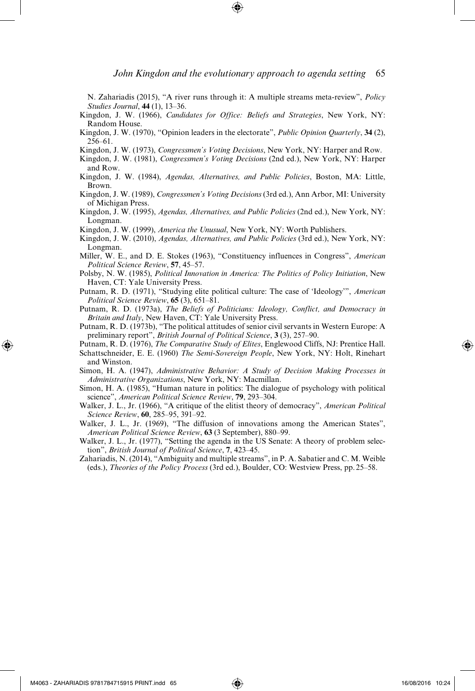- N. Zahariadis (2015), "A river runs through it: A multiple streams meta-review", *Policy Studies Journal*, **44** (1), 13–36.
- Kingdon, J. W. (1966), *Candidates for Office: Beliefs and Strategies*, New York, NY: Random House.
- Kingdon, J. W. (1970), "Opinion leaders in the electorate", *Public Opinion Quarterly*, **34** (2), 256–61.
- Kingdon, J. W. (1973), *Congressmen's Voting Decisions*, New York, NY: Harper and Row.
- Kingdon, J. W. (1981), *Congressmen's Voting Decisions* (2nd ed.), New York, NY: Harper and Row.
- Kingdon, J. W. (1984), *Agendas, Alternatives, and Public Policies*, Boston, MA: Little, Brown.
- Kingdon, J. W. (1989), *Congressmen's Voting Decisions* (3rd ed.), Ann Arbor, MI: University of Michigan Press.
- Kingdon, J. W. (1995), *Agendas, Alternatives, and Public Policies* (2nd ed.), New York, NY: Longman.
- Kingdon, J. W. (1999), *America the Unusual*, New York, NY: Worth Publishers.
- Kingdon, J. W. (2010), *Agendas, Alternatives, and Public Policies* (3rd ed.), New York, NY: Longman.
- Miller, W. E., and D. E. Stokes (1963), "Constituency influences in Congress", *American Political Science Review*, **57**, 45–57.
- Polsby, N. W. (1985), *Political Innovation in America: The Politics of Policy Initiation*, New Haven, CT: Yale University Press.
- Putnam, R. D. (1971), "Studying elite political culture: The case of 'Ideology'", *American Political Science Review*, **65** (3), 651–81.
- Putnam, R. D. (1973a), *The Beliefs of Politicians: Ideology, Conflict, and Democracy in Britain and Italy*, New Haven, CT: Yale University Press.
- Putnam, R. D. (1973b), "The political attitudes of senior civil servants in Western Europe: A preliminary report", *British Journal of Political Science*, **3** (3), 257–90.

Putnam, R. D. (1976), *The Comparative Study of Elites*, Englewood Cliffs, NJ: Prentice Hall. Schattschneider, E. E. (1960) *The Semi-Sovereign People*, New York, NY: Holt, Rinehart and Winston.

- Simon, H. A. (1947), *Administrative Behavior: A Study of Decision Making Processes in Administrative Organizations*, New York, NY: Macmillan.
- Simon, H. A. (1985), "Human nature in politics: The dialogue of psychology with political science", *American Political Science Review*, **79**, 293–304.
- Walker, J. L., Jr. (1966), "A critique of the elitist theory of democracy", *American Political Science Review*, **60**, 285–95, 391–92.
- Walker, J. L., Jr. (1969), "The diffusion of innovations among the American States", *American Political Science Review*, **63** (3 September), 880–99.
- Walker, J. L., Jr. (1977), "Setting the agenda in the US Senate: A theory of problem selection", *British Journal of Political Science*, **7**, 423–45.
- Zahariadis, N. (2014), "Ambiguity and multiple streams", in P. A. Sabatier and C. M. Weible (eds.), *Theories of the Policy Process* (3rd ed.), Boulder, CO: Westview Press, pp.25–58.

⊕